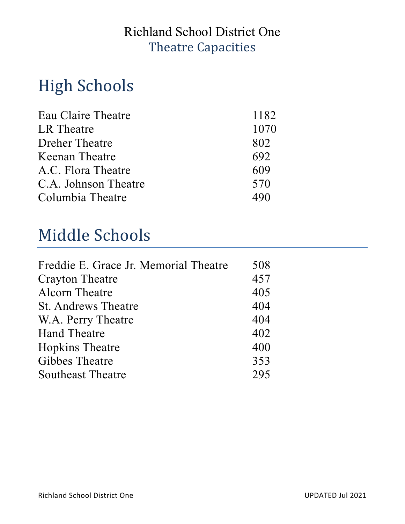## Richland School District One Theatre Capacities

# High Schools

| Eau Claire Theatre    | 1182 |
|-----------------------|------|
| LR Theatre            | 1070 |
| <b>Dreher Theatre</b> | 802  |
| Keenan Theatre        | 692  |
| A.C. Flora Theatre    | 609  |
| C.A. Johnson Theatre  | 570  |
| Columbia Theatre      | 490  |

# Middle Schools

| Freddie E. Grace Jr. Memorial Theatre | 508 |
|---------------------------------------|-----|
| <b>Crayton Theatre</b>                | 457 |
| <b>Alcorn Theatre</b>                 | 405 |
| <b>St. Andrews Theatre</b>            | 404 |
| W.A. Perry Theatre                    | 404 |
| <b>Hand Theatre</b>                   | 402 |
| <b>Hopkins Theatre</b>                | 400 |
| Gibbes Theatre                        | 353 |
| <b>Southeast Theatre</b>              | 295 |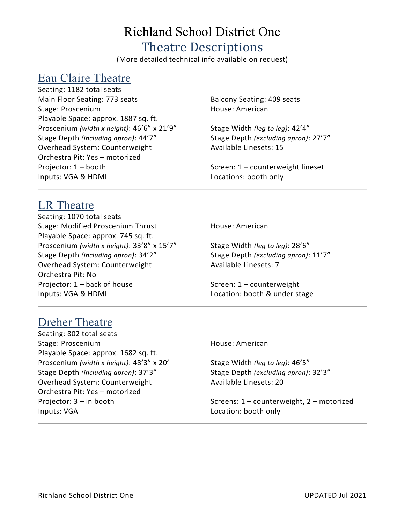## Richland School District One Theatre Descriptions

(More detailed technical info available on request)

## Eau Claire Theatre

Seating: 1182 total seats Main Floor Seating: 773 seats Balcony Seating: 409 seats Stage: Proscenium and Electronic House: American Playable Space: approx. 1887 sq. ft. Proscenium *(width x height)*: 46'6" x 21'9" Stage Width *(leg to leg)*: 42'4" Stage Depth *(including apron)*: 44'7" Stage Depth *(excluding apron)*: 27'7" Overhead System: Counterweight **Available Linesets: 15** Orchestra Pit: Yes – motorized Projector: 1 – booth Screen: 1 – counterweight lineset Inputs: VGA & HDMI Locations: booth only

#### LR Theatre

Seating: 1070 total seats Stage: Modified Proscenium Thrust House: American Playable Space: approx. 745 sq. ft. Proscenium *(width x height)*: 33'8" x 15'7" Stage Width *(leg to leg)*: 28'6" Stage Depth *(including apron)*: 34'2" Stage Depth *(excluding apron)*: 11'7" Overhead System: Counterweight Available Linesets: 7 Orchestra Pit: No Projector: 1 – back of house Screen: 1 – counterweight Inputs: VGA & HDMI Location: booth & under stage

## Dreher Theatre

Seating: 802 total seats Stage: Proscenium and House: American Playable Space: approx. 1682 sq. ft. Proscenium *(width x height)*: 48'3" x 20' Stage Width *(leg to leg)*: 46'5" Stage Depth *(including apron)*: 37'3" Stage Depth *(excluding apron)*: 32'3" Overhead System: Counterweight Available Linesets: 20 Orchestra Pit: Yes – motorized Inputs: VGA Location: booth only

Projector: 3 – in booth Screens: 1 – counterweight, 2 – motorized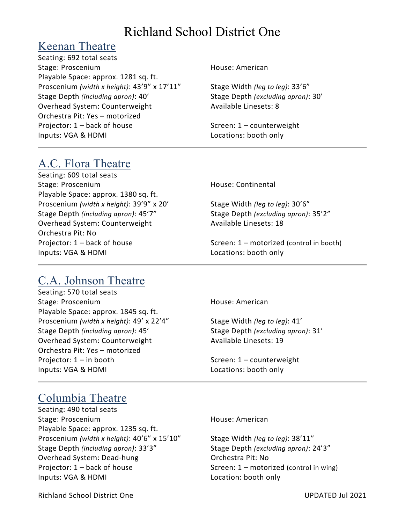## Richland School District One

#### Keenan Theatre

Seating: 692 total seats Stage: Proscenium **House: American** Playable Space: approx. 1281 sq. ft. Proscenium *(width x height)*: 43'9" x 17'11" Stage Width *(leg to leg)*: 33'6" Stage Depth *(including apron)*: 40' Stage Depth *(excluding apron)*: 30' Overhead System: Counterweight Available Linesets: 8 Orchestra Pit: Yes – motorized Projector: 1 – back of house Screen: 1 – counterweight Inputs: VGA & HDMI Locations: booth only

## A.C. Flora Theatre

Seating: 609 total seats Stage: Proscenium and the Continental House: Continental Playable Space: approx. 1380 sq. ft. Proscenium *(width x height)*: 39'9" x 20' Stage Width *(leg to leg)*: 30'6" Stage Depth *(including apron)*: 45'7" Stage Depth *(excluding apron)*: 35'2" Overhead System: Counterweight Available Linesets: 18 Orchestra Pit: No Inputs: VGA & HDMI Locations: booth only

Projector: 1 – back of house Screen: 1 – motorized (control in booth)

## C.A. Johnson Theatre

Seating: 570 total seats Stage: Proscenium and Electronic House: American Playable Space: approx. 1845 sq. ft. Proscenium *(width x height)*: 49' x 22'4" Stage Width *(leg to leg)*: 41' Stage Depth *(including apron)*: 45' Stage Depth *(excluding apron)*: 31' Overhead System: Counterweight **Available Linesets: 19** Orchestra Pit: Yes – motorized Projector: 1 – in booth Screen: 1 – counterweight Inputs: VGA & HDMI Locations: booth only

## Columbia Theatre

Seating: 490 total seats Stage: Proscenium **House: American** Playable Space: approx. 1235 sq. ft. Proscenium *(width x height)*: 40'6" x 15'10" Stage Width *(leg to leg)*: 38'11" Stage Depth *(including apron)*: 33'3" Stage Depth *(excluding apron)*: 24'3" Overhead System: Dead-hung Contract Contract Orchestra Pit: No Projector: 1 – back of house Screen: 1 – motorized (control in wing) Inputs: VGA & HDMI Location: booth only

Richland School District One UPDATED Jul 2021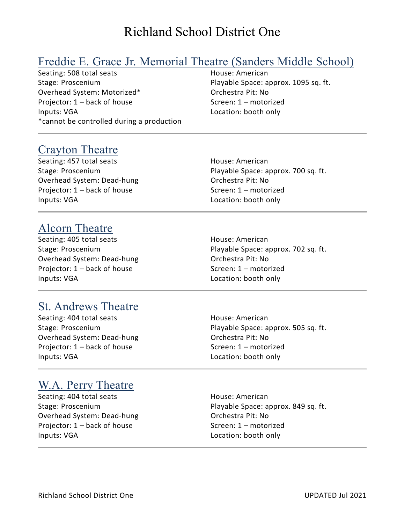## Richland School District One

## Freddie E. Grace Jr. Memorial Theatre (Sanders Middle School)

Seating: 508 total seats **Exercise Seating: Solution** House: American Stage: Proscenium Playable Space: approx. 1095 sq. ft. Overhead System: Motorized\* Contract Contract Contract Orchestra Pit: No Projector: 1 – back of house Screen: 1 – motorized Inputs: VGA Location: booth only \*cannot be controlled during a production

## Crayton Theatre

Seating: 457 total seats **Exercise Seating: 457** total seats Overhead System: Dead-hung Contestra Pit: No Projector: 1 – back of house Screen: 1 – motorized Inputs: VGA Location: booth only

Stage: Proscenium extensive provide Space: approx. 700 sq. ft.

## Alcorn Theatre

Seating: 405 total seats **House: American** Overhead System: Dead-hung Contract Contract Orchestra Pit: No Projector: 1 – back of house Screen: 1 – motorized Inputs: VGA Location: booth only

Stage: Proscenium Playable Space: approx. 702 sq. ft.

#### St. Andrews Theatre

Seating: 404 total seats **Exercise Seating: 404 total seats** House: American Overhead System: Dead-hung Contract Contract Orchestra Pit: No Projector: 1 – back of house Screen: 1 – motorized Inputs: VGA Location: booth only

Stage: Proscenium Playable Space: approx. 505 sq. ft.

## W.A. Perry Theatre

Seating: 404 total seats **Exercise Seating: 404 total seats** House: American Overhead System: Dead-hung Contestra Pit: No Projector: 1 – back of house Screen: 1 – motorized Inputs: VGA Location: booth only

Stage: Proscenium Playable Space: approx. 849 sq. ft.